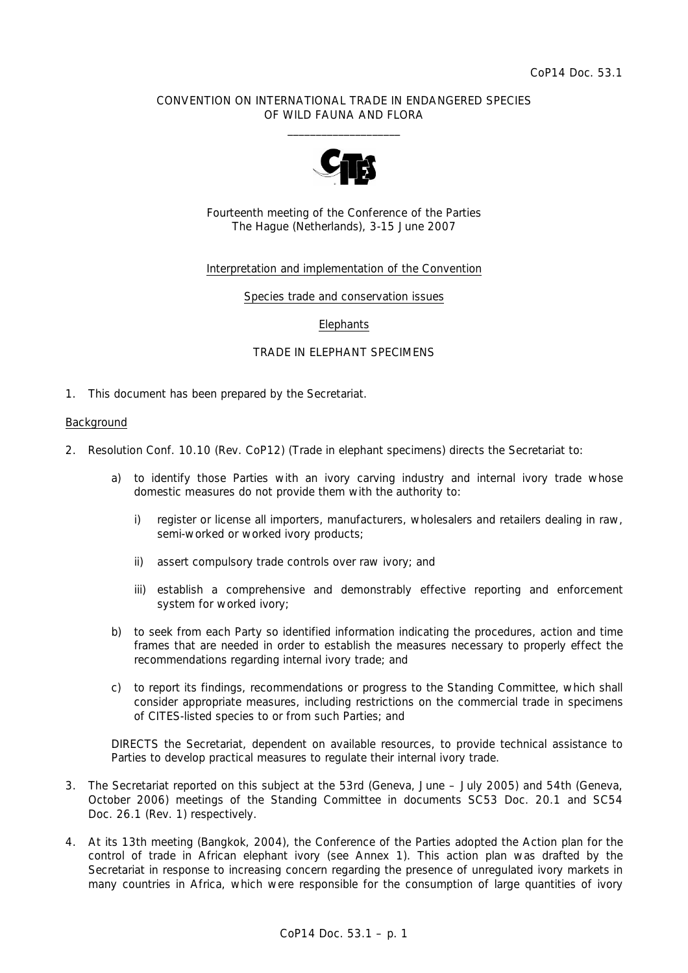### CONVENTION ON INTERNATIONAL TRADE IN ENDANGERED SPECIES OF WILD FAUNA AND FLORA  $\overline{\phantom{a}}$  , and the set of the set of the set of the set of the set of the set of the set of the set of the set of the set of the set of the set of the set of the set of the set of the set of the set of the set of the s



Fourteenth meeting of the Conference of the Parties The Hague (Netherlands), 3-15 June 2007

# Interpretation and implementation of the Convention

#### Species trade and conservation issues

### **Elephants**

### TRADE IN ELEPHANT SPECIMENS

1. This document has been prepared by the Secretariat.

#### Background

- 2. Resolution Conf. 10.10 (Rev. CoP12) (Trade in elephant specimens) directs the Secretariat to:
	- *a) to identify those Parties with an ivory carving industry and internal ivory trade whose domestic measures do not provide them with the authority to:* 
		- *i) register or license all importers, manufacturers, wholesalers and retailers dealing in raw, semi-worked or worked ivory products;*
		- *ii) assert compulsory trade controls over raw ivory; and*
		- *iii)* establish a comprehensive and demonstrably effective reporting and enforcement *system for worked ivory;*
	- *b) to seek from each Party so identified information indicating the procedures, action and time frames that are needed in order to establish the measures necessary to properly effect the recommendations regarding internal ivory trade; and*
	- *c) to report its findings, recommendations or progress to the Standing Committee, which shall consider appropriate measures, including restrictions on the commercial trade in specimens of CITES-listed species to or from such Parties; and*

 *DIRECTS the Secretariat, dependent on available resources, to provide technical assistance to Parties to develop practical measures to regulate their internal ivory trade.* 

- 3. The Secretariat reported on this subject at the 53rd (Geneva, June July 2005) and 54th (Geneva, October 2006) meetings of the Standing Committee in documents SC53 Doc. 20.1 and SC54 Doc. 26.1 (Rev. 1) respectively.
- 4. At its 13th meeting (Bangkok, 2004), the Conference of the Parties adopted the Action plan for the control of trade in African elephant ivory (see Annex 1). This action plan was drafted by the Secretariat in response to increasing concern regarding the presence of unregulated ivory markets in many countries in Africa, which were responsible for the consumption of large quantities of ivory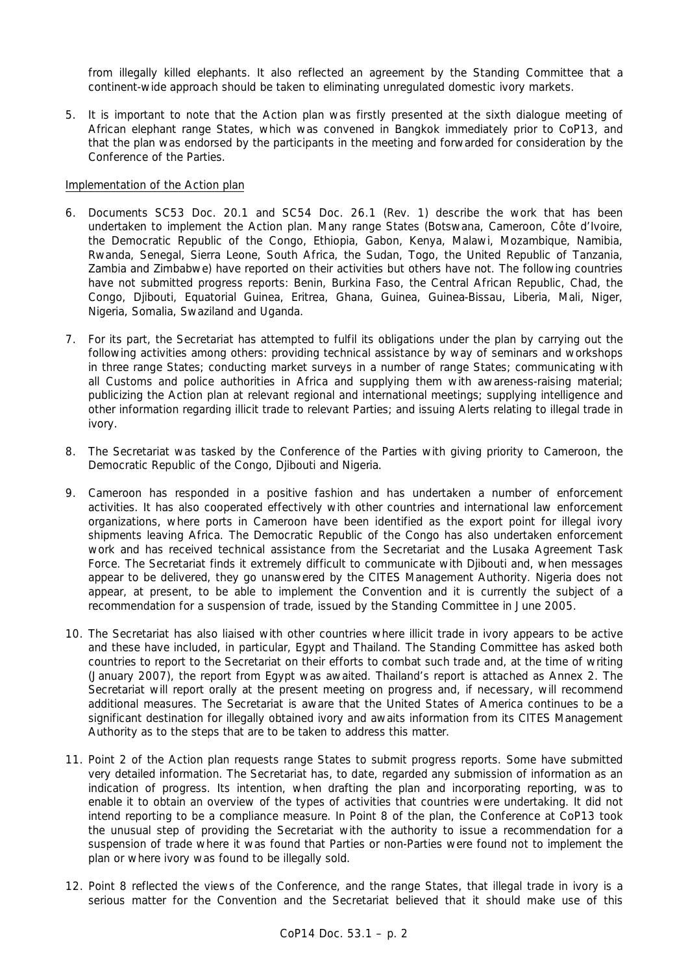from illegally killed elephants. It also reflected an agreement by the Standing Committee that a continent-wide approach should be taken to eliminating unregulated domestic ivory markets.

5. It is important to note that the Action plan was firstly presented at the sixth dialogue meeting of African elephant range States, which was convened in Bangkok immediately prior to CoP13, and that the plan was endorsed by the participants in the meeting and forwarded for consideration by the Conference of the Parties.

### Implementation of the Action plan

- 6. Documents SC53 Doc. 20.1 and SC54 Doc. 26.1 (Rev. 1) describe the work that has been undertaken to implement the Action plan. Many range States (Botswana, Cameroon, Côte d'Ivoire, the Democratic Republic of the Congo, Ethiopia, Gabon, Kenya, Malawi, Mozambique, Namibia, Rwanda, Senegal, Sierra Leone, South Africa, the Sudan, Togo, the United Republic of Tanzania, Zambia and Zimbabwe) have reported on their activities but others have not. The following countries have not submitted progress reports: Benin, Burkina Faso, the Central African Republic, Chad, the Congo, Djibouti, Equatorial Guinea, Eritrea, Ghana, Guinea, Guinea-Bissau, Liberia, Mali, Niger, Nigeria, Somalia, Swaziland and Uganda.
- 7. For its part, the Secretariat has attempted to fulfil its obligations under the plan by carrying out the following activities among others: providing technical assistance by way of seminars and workshops in three range States; conducting market surveys in a number of range States; communicating with all Customs and police authorities in Africa and supplying them with awareness-raising material; publicizing the Action plan at relevant regional and international meetings; supplying intelligence and other information regarding illicit trade to relevant Parties; and issuing Alerts relating to illegal trade in ivory.
- 8. The Secretariat was tasked by the Conference of the Parties with giving priority to Cameroon, the Democratic Republic of the Congo, Djibouti and Nigeria.
- 9. Cameroon has responded in a positive fashion and has undertaken a number of enforcement activities. It has also cooperated effectively with other countries and international law enforcement organizations, where ports in Cameroon have been identified as the export point for illegal ivory shipments leaving Africa. The Democratic Republic of the Congo has also undertaken enforcement work and has received technical assistance from the Secretariat and the Lusaka Agreement Task Force. The Secretariat finds it extremely difficult to communicate with Djibouti and, when messages appear to be delivered, they go unanswered by the CITES Management Authority. Nigeria does not appear, at present, to be able to implement the Convention and it is currently the subject of a recommendation for a suspension of trade, issued by the Standing Committee in June 2005.
- 10. The Secretariat has also liaised with other countries where illicit trade in ivory appears to be active and these have included, in particular, Egypt and Thailand. The Standing Committee has asked both countries to report to the Secretariat on their efforts to combat such trade and, at the time of writing (January 2007), the report from Egypt was awaited. Thailand's report is attached as Annex 2. The Secretariat will report orally at the present meeting on progress and, if necessary, will recommend additional measures. The Secretariat is aware that the United States of America continues to be a significant destination for illegally obtained ivory and awaits information from its CITES Management Authority as to the steps that are to be taken to address this matter.
- 11. Point 2 of the Action plan requests range States to submit progress reports. Some have submitted very detailed information. The Secretariat has, to date, regarded any submission of information as an indication of progress. Its intention, when drafting the plan and incorporating reporting, was to enable it to obtain an overview of the types of activities that countries were undertaking. It did not intend reporting to be a compliance measure. In Point 8 of the plan, the Conference at CoP13 took the unusual step of providing the Secretariat with the authority to issue a recommendation for a suspension of trade where it was found that Parties or non-Parties were found not to implement the plan or where ivory was found to be illegally sold.
- 12. Point 8 reflected the views of the Conference, and the range States, that illegal trade in ivory is a serious matter for the Convention and the Secretariat believed that it should make use of this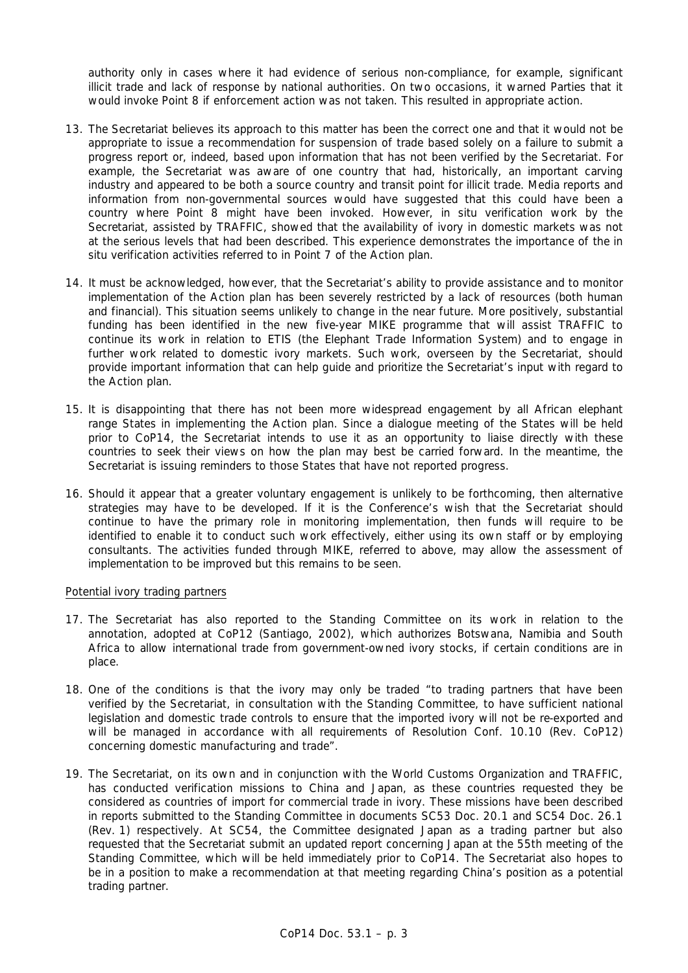authority only in cases where it had evidence of serious non-compliance, for example, significant illicit trade and lack of response by national authorities. On two occasions, it warned Parties that it would invoke Point 8 if enforcement action was not taken. This resulted in appropriate action.

- 13. The Secretariat believes its approach to this matter has been the correct one and that it would not be appropriate to issue a recommendation for suspension of trade based solely on a failure to submit a progress report or, indeed, based upon information that has not been verified by the Secretariat. For example, the Secretariat was aware of one country that had, historically, an important carving industry and appeared to be both a source country and transit point for illicit trade. Media reports and information from non-governmental sources would have suggested that this could have been a country where Point 8 might have been invoked. However, *in situ* verification work by the Secretariat, assisted by TRAFFIC, showed that the availability of ivory in domestic markets was not at the serious levels that had been described. This experience demonstrates the importance of the *in situ* verification activities referred to in Point 7 of the Action plan.
- 14. It must be acknowledged, however, that the Secretariat's ability to provide assistance and to monitor implementation of the Action plan has been severely restricted by a lack of resources (both human and financial). This situation seems unlikely to change in the near future. More positively, substantial funding has been identified in the new five-year MIKE programme that will assist TRAFFIC to continue its work in relation to ETIS (the Elephant Trade Information System) and to engage in further work related to domestic ivory markets. Such work, overseen by the Secretariat, should provide important information that can help guide and prioritize the Secretariat's input with regard to the Action plan.
- 15. It is disappointing that there has not been more widespread engagement by all African elephant range States in implementing the Action plan. Since a dialogue meeting of the States will be held prior to CoP14, the Secretariat intends to use it as an opportunity to liaise directly with these countries to seek their views on how the plan may best be carried forward. In the meantime, the Secretariat is issuing reminders to those States that have not reported progress.
- 16. Should it appear that a greater voluntary engagement is unlikely to be forthcoming, then alternative strategies may have to be developed. If it is the Conference's wish that the Secretariat should continue to have the primary role in monitoring implementation, then funds will require to be identified to enable it to conduct such work effectively, either using its own staff or by employing consultants. The activities funded through MIKE, referred to above, may allow the assessment of implementation to be improved but this remains to be seen.

# Potential ivory trading partners

- 17. The Secretariat has also reported to the Standing Committee on its work in relation to the annotation, adopted at CoP12 (Santiago, 2002), which authorizes Botswana, Namibia and South Africa to allow international trade from government-owned ivory stocks, if certain conditions are in place.
- 18. One of the conditions is that the ivory may only be traded "to trading partners that have been verified by the Secretariat, in consultation with the Standing Committee, to have sufficient national legislation and domestic trade controls to ensure that the imported ivory will not be re-exported and will be managed in accordance with all requirements of Resolution Conf. 10.10 (Rev. CoP12) concerning domestic manufacturing and trade".
- 19. The Secretariat, on its own and in conjunction with the World Customs Organization and TRAFFIC, has conducted verification missions to China and Japan, as these countries requested they be considered as countries of import for commercial trade in ivory. These missions have been described in reports submitted to the Standing Committee in documents SC53 Doc. 20.1 and SC54 Doc. 26.1 (Rev. 1) respectively. At SC54, the Committee designated Japan as a trading partner but also requested that the Secretariat submit an updated report concerning Japan at the 55th meeting of the Standing Committee, which will be held immediately prior to CoP14. The Secretariat also hopes to be in a position to make a recommendation at that meeting regarding China's position as a potential trading partner.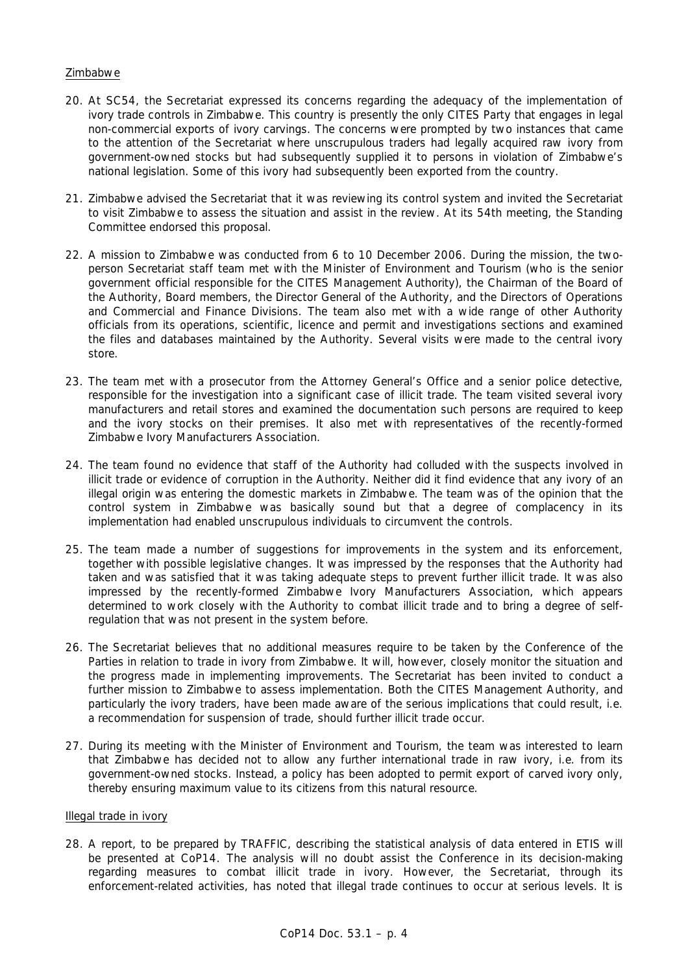## Zimbabwe

- 20. At SC54, the Secretariat expressed its concerns regarding the adequacy of the implementation of ivory trade controls in Zimbabwe. This country is presently the only CITES Party that engages in legal non-commercial exports of ivory carvings. The concerns were prompted by two instances that came to the attention of the Secretariat where unscrupulous traders had legally acquired raw ivory from government-owned stocks but had subsequently supplied it to persons in violation of Zimbabwe's national legislation. Some of this ivory had subsequently been exported from the country.
- 21. Zimbabwe advised the Secretariat that it was reviewing its control system and invited the Secretariat to visit Zimbabwe to assess the situation and assist in the review. At its 54th meeting, the Standing Committee endorsed this proposal.
- 22. A mission to Zimbabwe was conducted from 6 to 10 December 2006. During the mission, the twoperson Secretariat staff team met with the Minister of Environment and Tourism (who is the senior government official responsible for the CITES Management Authority), the Chairman of the Board of the Authority, Board members, the Director General of the Authority, and the Directors of Operations and Commercial and Finance Divisions. The team also met with a wide range of other Authority officials from its operations, scientific, licence and permit and investigations sections and examined the files and databases maintained by the Authority. Several visits were made to the central ivory store.
- 23. The team met with a prosecutor from the Attorney General's Office and a senior police detective, responsible for the investigation into a significant case of illicit trade. The team visited several ivory manufacturers and retail stores and examined the documentation such persons are required to keep and the ivory stocks on their premises. It also met with representatives of the recently-formed Zimbabwe Ivory Manufacturers Association.
- 24. The team found no evidence that staff of the Authority had colluded with the suspects involved in illicit trade or evidence of corruption in the Authority. Neither did it find evidence that any ivory of an illegal origin was entering the domestic markets in Zimbabwe. The team was of the opinion that the control system in Zimbabwe was basically sound but that a degree of complacency in its implementation had enabled unscrupulous individuals to circumvent the controls.
- 25. The team made a number of suggestions for improvements in the system and its enforcement, together with possible legislative changes. It was impressed by the responses that the Authority had taken and was satisfied that it was taking adequate steps to prevent further illicit trade. It was also impressed by the recently-formed Zimbabwe Ivory Manufacturers Association, which appears determined to work closely with the Authority to combat illicit trade and to bring a degree of selfregulation that was not present in the system before.
- 26. The Secretariat believes that no additional measures require to be taken by the Conference of the Parties in relation to trade in ivory from Zimbabwe. It will, however, closely monitor the situation and the progress made in implementing improvements. The Secretariat has been invited to conduct a further mission to Zimbabwe to assess implementation. Both the CITES Management Authority, and particularly the ivory traders, have been made aware of the serious implications that could result, i.e. a recommendation for suspension of trade, should further illicit trade occur.
- 27. During its meeting with the Minister of Environment and Tourism, the team was interested to learn that Zimbabwe has decided not to allow any further international trade in raw ivory, i.e. from its government-owned stocks. Instead, a policy has been adopted to permit export of carved ivory only, thereby ensuring maximum value to its citizens from this natural resource.

## Illegal trade in ivory

28. A report, to be prepared by TRAFFIC, describing the statistical analysis of data entered in ETIS will be presented at CoP14. The analysis will no doubt assist the Conference in its decision-making regarding measures to combat illicit trade in ivory. However, the Secretariat, through its enforcement-related activities, has noted that illegal trade continues to occur at serious levels. It is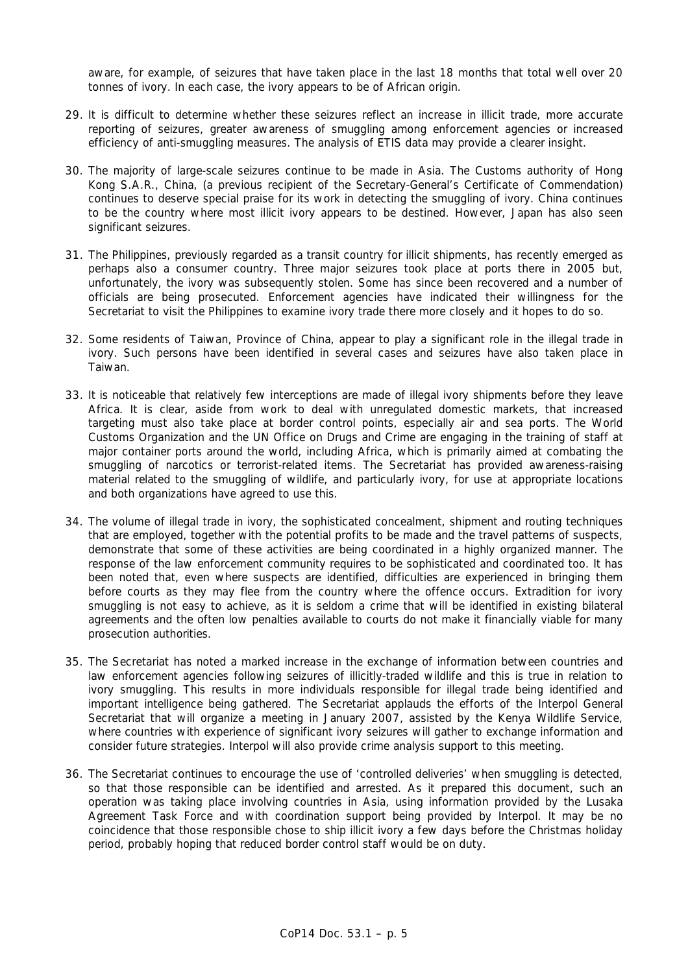aware, for example, of seizures that have taken place in the last 18 months that total well over 20 tonnes of ivory. In each case, the ivory appears to be of African origin.

- 29. It is difficult to determine whether these seizures reflect an increase in illicit trade, more accurate reporting of seizures, greater awareness of smuggling among enforcement agencies or increased efficiency of anti-smuggling measures. The analysis of ETIS data may provide a clearer insight.
- 30. The majority of large-scale seizures continue to be made in Asia. The Customs authority of Hong Kong S.A.R., China, (a previous recipient of the Secretary-General's Certificate of Commendation) continues to deserve special praise for its work in detecting the smuggling of ivory. China continues to be the country where most illicit ivory appears to be destined. However, Japan has also seen significant seizures.
- 31. The Philippines, previously regarded as a transit country for illicit shipments, has recently emerged as perhaps also a consumer country. Three major seizures took place at ports there in 2005 but, unfortunately, the ivory was subsequently stolen. Some has since been recovered and a number of officials are being prosecuted. Enforcement agencies have indicated their willingness for the Secretariat to visit the Philippines to examine ivory trade there more closely and it hopes to do so.
- 32. Some residents of Taiwan, Province of China, appear to play a significant role in the illegal trade in ivory. Such persons have been identified in several cases and seizures have also taken place in Taiwan.
- 33. It is noticeable that relatively few interceptions are made of illegal ivory shipments before they leave Africa. It is clear, aside from work to deal with unregulated domestic markets, that increased targeting must also take place at border control points, especially air and sea ports. The World Customs Organization and the UN Office on Drugs and Crime are engaging in the training of staff at major container ports around the world, including Africa, which is primarily aimed at combating the smuggling of narcotics or terrorist-related items. The Secretariat has provided awareness-raising material related to the smuggling of wildlife, and particularly ivory, for use at appropriate locations and both organizations have agreed to use this.
- 34. The volume of illegal trade in ivory, the sophisticated concealment, shipment and routing techniques that are employed, together with the potential profits to be made and the travel patterns of suspects, demonstrate that some of these activities are being coordinated in a highly organized manner. The response of the law enforcement community requires to be sophisticated and coordinated too. It has been noted that, even where suspects are identified, difficulties are experienced in bringing them before courts as they may flee from the country where the offence occurs. Extradition for ivory smuggling is not easy to achieve, as it is seldom a crime that will be identified in existing bilateral agreements and the often low penalties available to courts do not make it financially viable for many prosecution authorities.
- 35. The Secretariat has noted a marked increase in the exchange of information between countries and law enforcement agencies following seizures of illicitly-traded wildlife and this is true in relation to ivory smuggling. This results in more individuals responsible for illegal trade being identified and important intelligence being gathered. The Secretariat applauds the efforts of the Interpol General Secretariat that will organize a meeting in January 2007, assisted by the Kenya Wildlife Service, where countries with experience of significant ivory seizures will gather to exchange information and consider future strategies. Interpol will also provide crime analysis support to this meeting.
- 36. The Secretariat continues to encourage the use of 'controlled deliveries' when smuggling is detected, so that those responsible can be identified and arrested. As it prepared this document, such an operation was taking place involving countries in Asia, using information provided by the Lusaka Agreement Task Force and with coordination support being provided by Interpol. It may be no coincidence that those responsible chose to ship illicit ivory a few days before the Christmas holiday period, probably hoping that reduced border control staff would be on duty.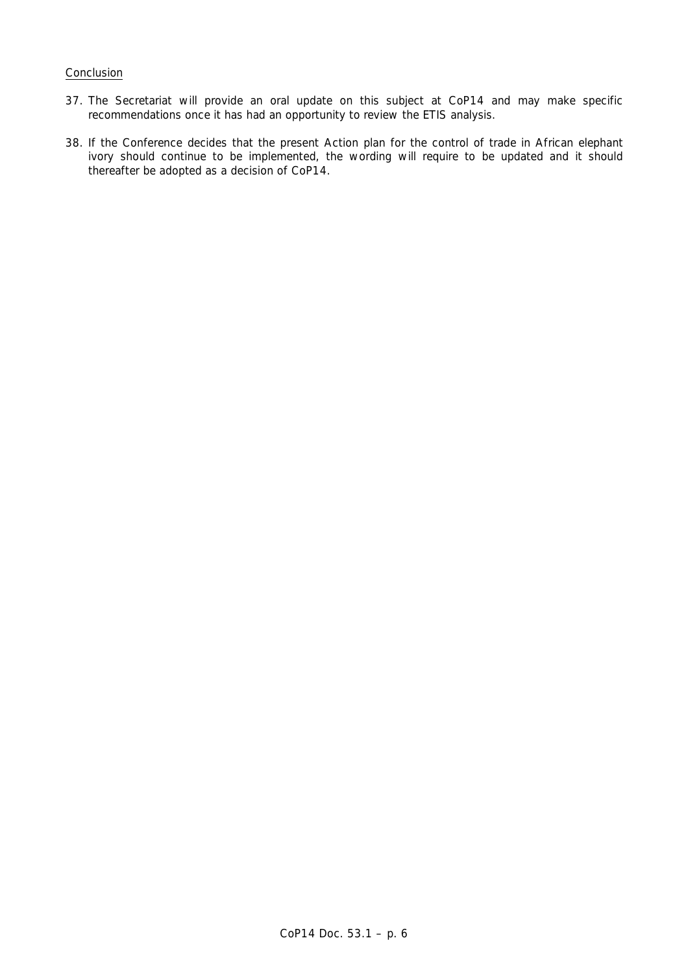## Conclusion

- 37. The Secretariat will provide an oral update on this subject at CoP14 and may make specific recommendations once it has had an opportunity to review the ETIS analysis.
- 38. If the Conference decides that the present Action plan for the control of trade in African elephant ivory should continue to be implemented, the wording will require to be updated and it should thereafter be adopted as a decision of CoP14.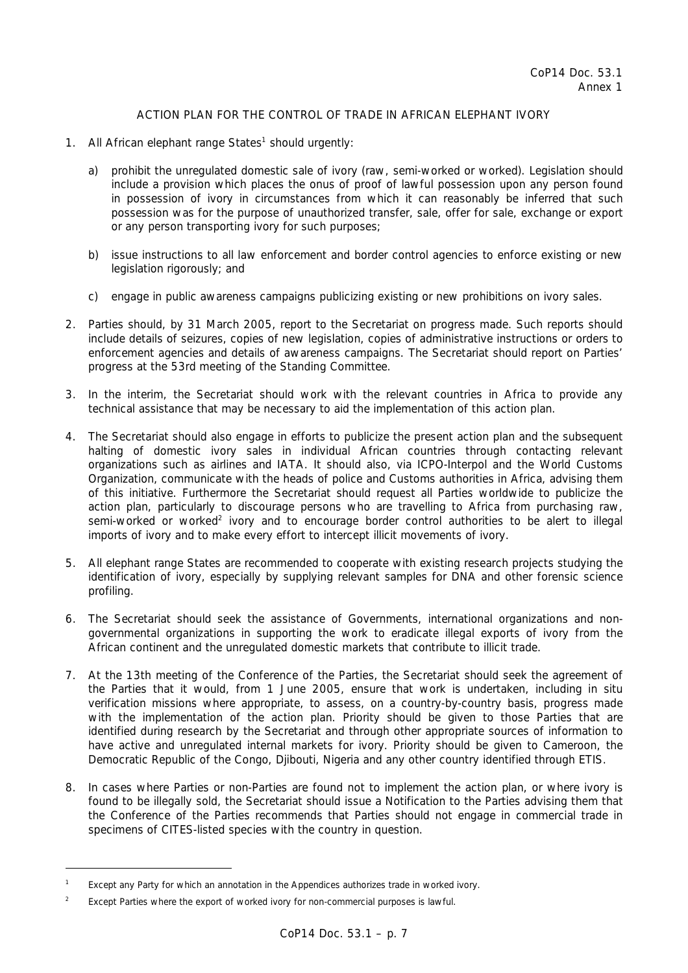# ACTION PLAN FOR THE CONTROL OF TRADE IN AFRICAN ELEPHANT IVORY

- 1. All African elephant range States<sup>1</sup> should urgently:
	- a) prohibit the unregulated domestic sale of ivory (raw, semi-worked or worked). Legislation should include a provision which places the onus of proof of lawful possession upon any person found in possession of ivory in circumstances from which it can reasonably be inferred that such possession was for the purpose of unauthorized transfer, sale, offer for sale, exchange or export or any person transporting ivory for such purposes;
	- b) issue instructions to all law enforcement and border control agencies to enforce existing or new legislation rigorously; and
	- c) engage in public awareness campaigns publicizing existing or new prohibitions on ivory sales.
- 2. Parties should, by 31 March 2005, report to the Secretariat on progress made. Such reports should include details of seizures, copies of new legislation, copies of administrative instructions or orders to enforcement agencies and details of awareness campaigns. The Secretariat should report on Parties' progress at the 53rd meeting of the Standing Committee.
- 3. In the interim, the Secretariat should work with the relevant countries in Africa to provide any technical assistance that may be necessary to aid the implementation of this action plan.
- 4. The Secretariat should also engage in efforts to publicize the present action plan and the subsequent halting of domestic ivory sales in individual African countries through contacting relevant organizations such as airlines and IATA. It should also, via ICPO-Interpol and the World Customs Organization, communicate with the heads of police and Customs authorities in Africa, advising them of this initiative. Furthermore the Secretariat should request all Parties worldwide to publicize the action plan, particularly to discourage persons who are travelling to Africa from purchasing raw, semi-worked or worked<sup>2</sup> ivory and to encourage border control authorities to be alert to illegal imports of ivory and to make every effort to intercept illicit movements of ivory.
- 5. All elephant range States are recommended to cooperate with existing research projects studying the identification of ivory, especially by supplying relevant samples for DNA and other forensic science profiling.
- 6. The Secretariat should seek the assistance of Governments, international organizations and nongovernmental organizations in supporting the work to eradicate illegal exports of ivory from the African continent and the unregulated domestic markets that contribute to illicit trade.
- 7. At the 13th meeting of the Conference of the Parties, the Secretariat should seek the agreement of the Parties that it would, from 1 June 2005, ensure that work is undertaken, including *in situ* verification missions where appropriate, to assess, on a country-by-country basis, progress made with the implementation of the action plan. Priority should be given to those Parties that are identified during research by the Secretariat and through other appropriate sources of information to have active and unregulated internal markets for ivory. Priority should be given to Cameroon, the Democratic Republic of the Congo, Djibouti, Nigeria and any other country identified through ETIS.
- 8. In cases where Parties or non-Parties are found not to implement the action plan, or where ivory is found to be illegally sold, the Secretariat should issue a Notification to the Parties advising them that the Conference of the Parties recommends that Parties should not engage in commercial trade in specimens of CITES-listed species with the country in question.

l

*<sup>1</sup> Except any Party for which an annotation in the Appendices authorizes trade in worked ivory.* 

*<sup>2</sup> Except Parties where the export of worked ivory for non-commercial purposes is lawful.*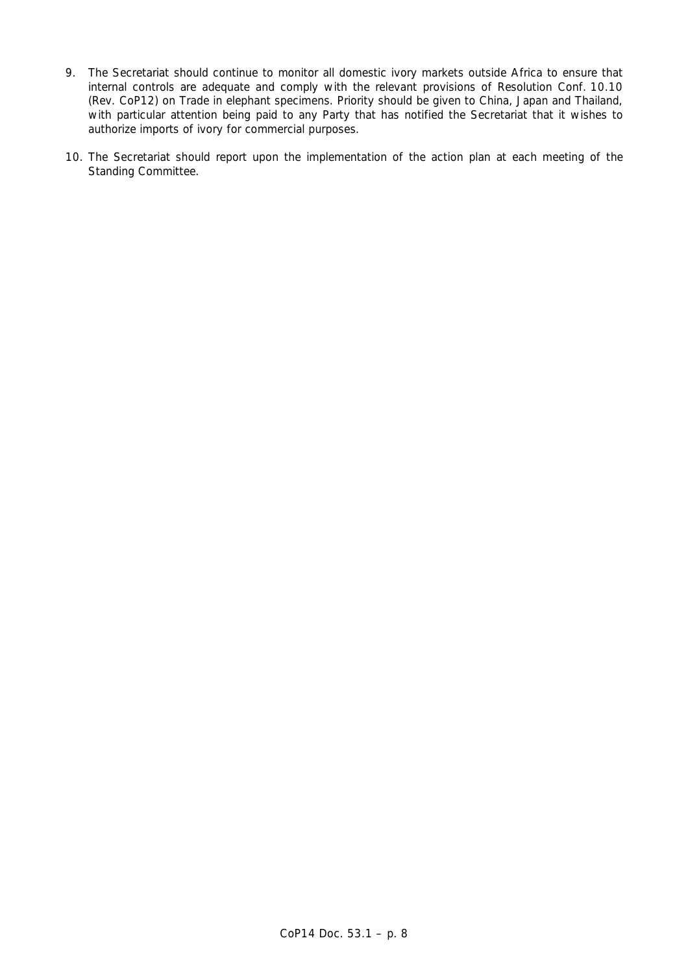- 9. The Secretariat should continue to monitor all domestic ivory markets outside Africa to ensure that internal controls are adequate and comply with the relevant provisions of Resolution Conf. 10.10 (Rev. CoP12) on Trade in elephant specimens. Priority should be given to China, Japan and Thailand, with particular attention being paid to any Party that has notified the Secretariat that it wishes to authorize imports of ivory for commercial purposes.
- 10. The Secretariat should report upon the implementation of the action plan at each meeting of the Standing Committee.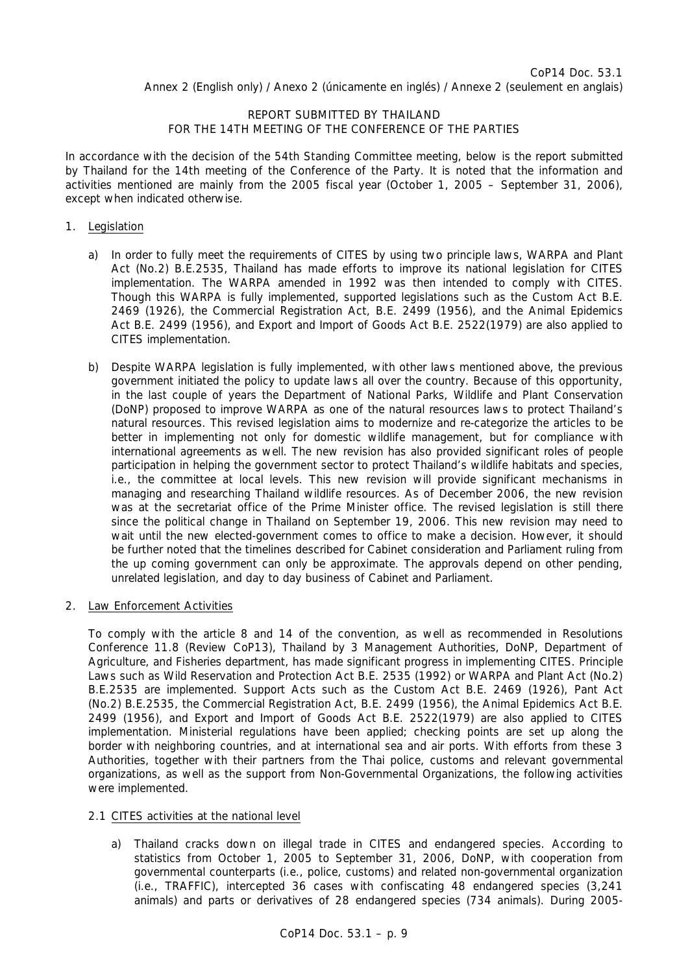# REPORT SUBMITTED BY THAILAND FOR THE 14TH MEETING OF THE CONFERENCE OF THE PARTIES

In accordance with the decision of the 54th Standing Committee meeting, below is the report submitted by Thailand for the 14th meeting of the Conference of the Party. It is noted that the information and activities mentioned are mainly from the 2005 fiscal year (October 1, 2005 – September 31, 2006), except when indicated otherwise.

# 1. Legislation

- a) In order to fully meet the requirements of CITES by using two principle laws, WARPA and Plant Act (No.2) B.E.2535, Thailand has made efforts to improve its national legislation for CITES implementation. The WARPA amended in 1992 was then intended to comply with CITES. Though this WARPA is fully implemented, supported legislations such as the Custom Act B.E. 2469 (1926), the Commercial Registration Act, B.E. 2499 (1956), and the Animal Epidemics Act B.E. 2499 (1956), and Export and Import of Goods Act B.E. 2522(1979) are also applied to CITES implementation.
- b) Despite WARPA legislation is fully implemented, with other laws mentioned above, the previous government initiated the policy to update laws all over the country. Because of this opportunity, in the last couple of years the Department of National Parks, Wildlife and Plant Conservation (DoNP) proposed to improve WARPA as one of the natural resources laws to protect Thailand's natural resources. This revised legislation aims to modernize and re-categorize the articles to be better in implementing not only for domestic wildlife management, but for compliance with international agreements as well. The new revision has also provided significant roles of people participation in helping the government sector to protect Thailand's wildlife habitats and species, i.e., the committee at local levels. This new revision will provide significant mechanisms in managing and researching Thailand wildlife resources. As of December 2006, the new revision was at the secretariat office of the Prime Minister office. The revised legislation is still there since the political change in Thailand on September 19, 2006. This new revision may need to wait until the new elected-government comes to office to make a decision. However, it should be further noted that the timelines described for Cabinet consideration and Parliament ruling from the up coming government can only be approximate. The approvals depend on other pending, unrelated legislation, and day to day business of Cabinet and Parliament.
- 2. Law Enforcement Activities

 To comply with the article 8 and 14 of the convention, as well as recommended in Resolutions Conference 11.8 (Review CoP13), Thailand by 3 Management Authorities, DoNP, Department of Agriculture, and Fisheries department, has made significant progress in implementing CITES. Principle Laws such as Wild Reservation and Protection Act B.E. 2535 (1992) or WARPA and Plant Act (No.2) B.E.2535 are implemented. Support Acts such as the Custom Act B.E. 2469 (1926), Pant Act (No.2) B.E.2535, the Commercial Registration Act, B.E. 2499 (1956), the Animal Epidemics Act B.E. 2499 (1956), and Export and Import of Goods Act B.E. 2522(1979) are also applied to CITES implementation. Ministerial regulations have been applied; checking points are set up along the border with neighboring countries, and at international sea and air ports. With efforts from these 3 Authorities, together with their partners from the Thai police, customs and relevant governmental organizations, as well as the support from Non-Governmental Organizations, the following activities were implemented.

# 2.1 CITES activities at the national level

 a) Thailand cracks down on illegal trade in CITES and endangered species. According to statistics from October 1, 2005 to September 31, 2006, DoNP, with cooperation from governmental counterparts (i.e., police, customs) and related non-governmental organization (i.e., TRAFFIC), intercepted 36 cases with confiscating 48 endangered species (3,241 animals) and parts or derivatives of 28 endangered species (734 animals). During 2005-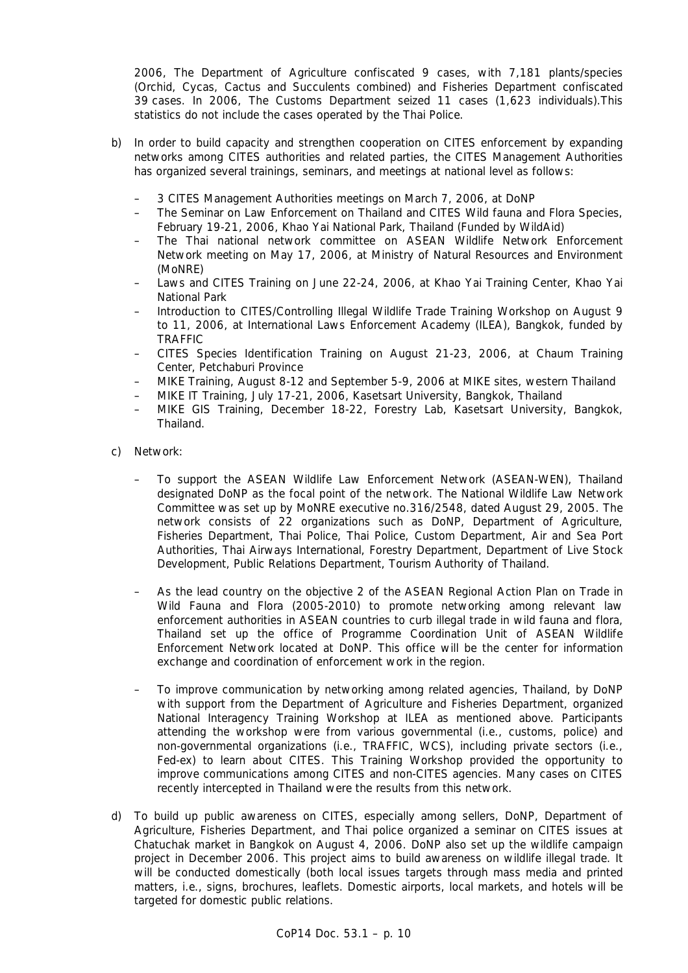2006, The Department of Agriculture confiscated 9 cases, with 7,181 plants/species (Orchid, Cycas, Cactus and Succulents combined) and Fisheries Department confiscated 39 cases. In 2006, The Customs Department seized 11 cases (1,623 individuals).This statistics do not include the cases operated by the Thai Police.

- b) In order to build capacity and strengthen cooperation on CITES enforcement by expanding networks among CITES authorities and related parties, the CITES Management Authorities has organized several trainings, seminars, and meetings at national level as follows:
	- 3 CITES Management Authorities meetings on March 7, 2006, at DoNP
	- The Seminar on Law Enforcement on Thailand and CITES Wild fauna and Flora Species, February 19-21, 2006, Khao Yai National Park, Thailand (Funded by WildAid)
	- The Thai national network committee on ASEAN Wildlife Network Enforcement Network meeting on May 17, 2006, at Ministry of Natural Resources and Environment (MoNRE)
	- Laws and CITES Training on June 22-24, 2006, at Khao Yai Training Center, Khao Yai National Park
	- Introduction to CITES/Controlling Illegal Wildlife Trade Training Workshop on August 9 to 11, 2006, at International Laws Enforcement Academy (ILEA), Bangkok, funded by TRAFFIC
	- CITES Species Identification Training on August 21-23, 2006, at Chaum Training Center, Petchaburi Province
	- MIKE Training, August 8-12 and September 5-9, 2006 at MIKE sites, western Thailand
	- MIKE IT Training, July 17-21, 2006, Kasetsart University, Bangkok, Thailand
	- MIKE GIS Training, December 18-22, Forestry Lab, Kasetsart University, Bangkok, Thailand.
- c) Network:
	- To support the ASEAN Wildlife Law Enforcement Network (ASEAN-WEN), Thailand designated DoNP as the focal point of the network. The National Wildlife Law Network Committee was set up by MoNRE executive no.316/2548, dated August 29, 2005. The network consists of 22 organizations such as DoNP, Department of Agriculture, Fisheries Department, Thai Police, Thai Police, Custom Department, Air and Sea Port Authorities, Thai Airways International, Forestry Department, Department of Live Stock Development, Public Relations Department, Tourism Authority of Thailand.
	- As the lead country on the objective 2 of the ASEAN Regional Action Plan on Trade in Wild Fauna and Flora (2005-2010) to promote networking among relevant law enforcement authorities in ASEAN countries to curb illegal trade in wild fauna and flora, Thailand set up the office of Programme Coordination Unit of ASEAN Wildlife Enforcement Network located at DoNP. This office will be the center for information exchange and coordination of enforcement work in the region.
	- To improve communication by networking among related agencies, Thailand, by DoNP with support from the Department of Agriculture and Fisheries Department, organized National Interagency Training Workshop at ILEA as mentioned above. Participants attending the workshop were from various governmental (i.e., customs, police) and non-governmental organizations (i.e., TRAFFIC, WCS), including private sectors (i.e., Fed-ex) to learn about CITES. This Training Workshop provided the opportunity to improve communications among CITES and non-CITES agencies. Many cases on CITES recently intercepted in Thailand were the results from this network.
- d) To build up public awareness on CITES, especially among sellers, DoNP, Department of Agriculture, Fisheries Department, and Thai police organized a seminar on CITES issues at Chatuchak market in Bangkok on August 4, 2006. DoNP also set up the wildlife campaign project in December 2006. This project aims to build awareness on wildlife illegal trade. It will be conducted domestically (both local issues targets through mass media and printed matters, i.e., signs, brochures, leaflets. Domestic airports, local markets, and hotels will be targeted for domestic public relations.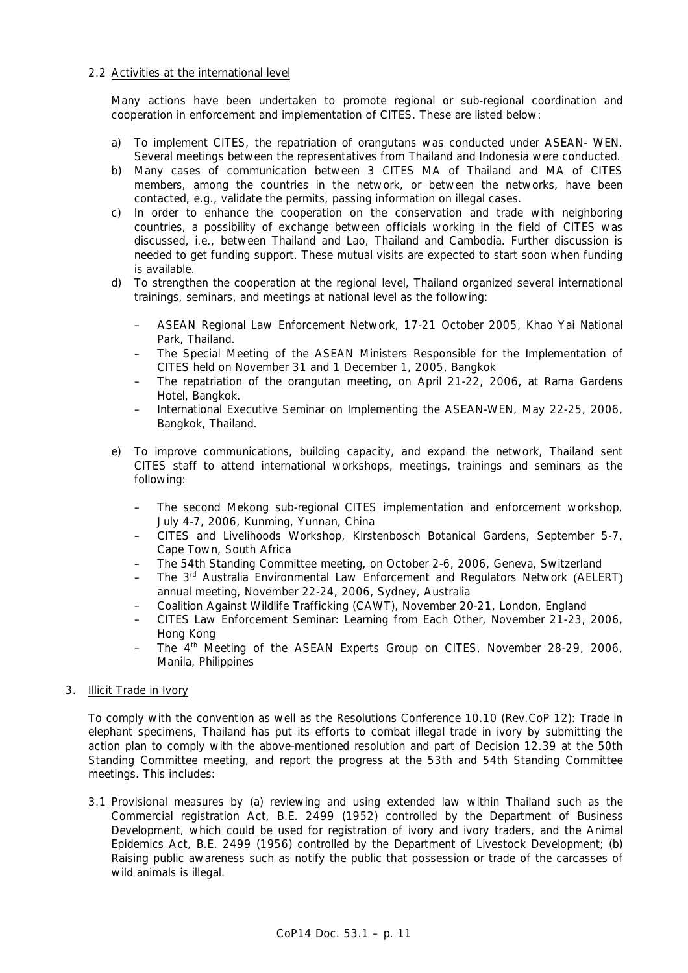### 2.2 Activities at the international level

 Many actions have been undertaken to promote regional or sub-regional coordination and cooperation in enforcement and implementation of CITES. These are listed below:

- a) To implement CITES, the repatriation of orangutans was conducted under ASEAN- WEN. Several meetings between the representatives from Thailand and Indonesia were conducted.
- b) Many cases of communication between 3 CITES MA of Thailand and MA of CITES members, among the countries in the network, or between the networks, have been contacted, e.g., validate the permits, passing information on illegal cases.
- c) In order to enhance the cooperation on the conservation and trade with neighboring countries, a possibility of exchange between officials working in the field of CITES was discussed, i.e., between Thailand and Lao, Thailand and Cambodia. Further discussion is needed to get funding support. These mutual visits are expected to start soon when funding is available.
- d) To strengthen the cooperation at the regional level, Thailand organized several international trainings, seminars, and meetings at national level as the following:
	- ASEAN Regional Law Enforcement Network, 17-21 October 2005, Khao Yai National Park, Thailand.
	- The Special Meeting of the ASEAN Ministers Responsible for the Implementation of CITES held on November 31 and 1 December 1, 2005, Bangkok
	- The repatriation of the orangutan meeting, on April 21-22, 2006, at Rama Gardens Hotel, Bangkok.
	- International Executive Seminar on Implementing the ASEAN-WEN, May 22-25, 2006, Bangkok, Thailand.
- e) To improve communications, building capacity, and expand the network, Thailand sent CITES staff to attend international workshops, meetings, trainings and seminars as the following:
	- The second Mekong sub-regional CITES implementation and enforcement workshop, July 4-7, 2006, Kunming, Yunnan, China
	- CITES and Livelihoods Workshop, Kirstenbosch Botanical Gardens, September 5-7, Cape Town, South Africa
	- The 54th Standing Committee meeting, on October 2-6, 2006, Geneva, Switzerland
	- The 3rd Australia Environmental Law Enforcement and Regulators Network (AELERT) annual meeting, November 22-24, 2006, Sydney, Australia
	- Coalition Against Wildlife Trafficking (CAWT), November 20-21, London, England
	- CITES Law Enforcement Seminar: Learning from Each Other, November 21-23, 2006, Hong Kong
	- The 4<sup>th</sup> Meeting of the ASEAN Experts Group on CITES, November 28-29, 2006, Manila, Philippines

#### 3. Illicit Trade in Ivory

 To comply with the convention as well as the Resolutions Conference 10.10 (Rev.CoP 12): Trade in elephant specimens, Thailand has put its efforts to combat illegal trade in ivory by submitting the action plan to comply with the above-mentioned resolution and part of Decision 12.39 at the 50th Standing Committee meeting, and report the progress at the 53th and 54th Standing Committee meetings. This includes:

 3.1 Provisional measures by (a) reviewing and using extended law within Thailand such as the Commercial registration Act, B.E. 2499 (1952) controlled by the Department of Business Development, which could be used for registration of ivory and ivory traders, and the Animal Epidemics Act, B.E. 2499 (1956) controlled by the Department of Livestock Development; (b) Raising public awareness such as notify the public that possession or trade of the carcasses of wild animals is illegal.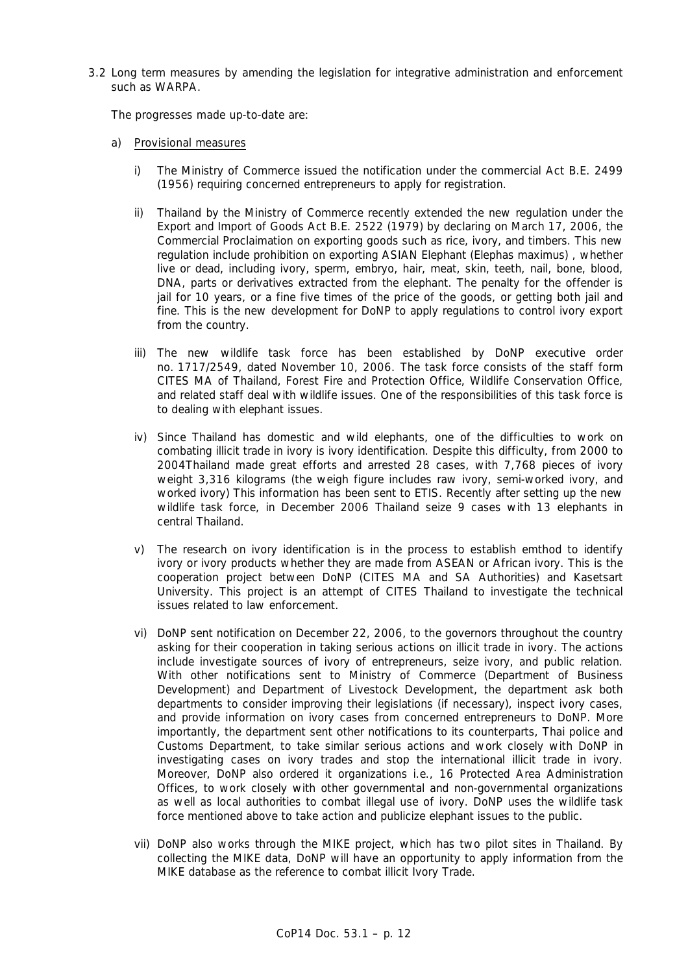3.2 Long term measures by amending the legislation for integrative administration and enforcement such as WARPA.

The progresses made up-to-date are:

- a) Provisional measures
	- i) The Ministry of Commerce issued the notification under the commercial Act B.E. 2499 (1956) requiring concerned entrepreneurs to apply for registration.
	- ii) Thailand by the Ministry of Commerce recently extended the new regulation under the Export and Import of Goods Act B.E. 2522 (1979) by declaring on March 17, 2006, the Commercial Proclaimation on exporting goods such as rice, ivory, and timbers. This new regulation include prohibition on exporting ASIAN Elephant (Elephas maximus) , whether live or dead, including ivory, sperm, embryo, hair, meat, skin, teeth, nail, bone, blood, DNA, parts or derivatives extracted from the elephant. The penalty for the offender is jail for 10 years, or a fine five times of the price of the goods, or getting both jail and fine. This is the new development for DoNP to apply regulations to control ivory export from the country.
	- iii) The new wildlife task force has been established by DoNP executive order no. 1717/2549, dated November 10, 2006. The task force consists of the staff form CITES MA of Thailand, Forest Fire and Protection Office, Wildlife Conservation Office, and related staff deal with wildlife issues. One of the responsibilities of this task force is to dealing with elephant issues.
	- iv) Since Thailand has domestic and wild elephants, one of the difficulties to work on combating illicit trade in ivory is ivory identification. Despite this difficulty, from 2000 to 2004Thailand made great efforts and arrested 28 cases, with 7,768 pieces of ivory weight 3,316 kilograms (the weigh figure includes raw ivory, semi-worked ivory, and worked ivory) This information has been sent to ETIS. Recently after setting up the new wildlife task force, in December 2006 Thailand seize 9 cases with 13 elephants in central Thailand.
	- v) The research on ivory identification is in the process to establish emthod to identify ivory or ivory products whether they are made from ASEAN or African ivory. This is the cooperation project between DoNP (CITES MA and SA Authorities) and Kasetsart University. This project is an attempt of CITES Thailand to investigate the technical issues related to law enforcement.
	- vi) DoNP sent notification on December 22, 2006, to the governors throughout the country asking for their cooperation in taking serious actions on illicit trade in ivory. The actions include investigate sources of ivory of entrepreneurs, seize ivory, and public relation. With other notifications sent to Ministry of Commerce (Department of Business Development) and Department of Livestock Development, the department ask both departments to consider improving their legislations (if necessary), inspect ivory cases, and provide information on ivory cases from concerned entrepreneurs to DoNP. More importantly, the department sent other notifications to its counterparts, Thai police and Customs Department, to take similar serious actions and work closely with DoNP in investigating cases on ivory trades and stop the international illicit trade in ivory. Moreover, DoNP also ordered it organizations i.e., 16 Protected Area Administration Offices, to work closely with other governmental and non-governmental organizations as well as local authorities to combat illegal use of ivory. DoNP uses the wildlife task force mentioned above to take action and publicize elephant issues to the public.
	- vii) DoNP also works through the MIKE project, which has two pilot sites in Thailand. By collecting the MIKE data, DoNP will have an opportunity to apply information from the MIKE database as the reference to combat illicit Ivory Trade.